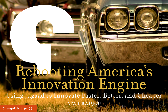# Rebooting America's Innovation Engine Using Jugaad to Innovate Faster, Better, and Cheaper NAVI RADJOU

[ChangeThis](http://changethis.com) | 94.06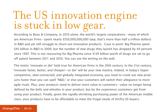## The US innovation engine is stuck in low gear.

According to Booz & Company, in 2010 alone, the world's largest corporations—many of which are American firms—spent nearly \$550,000,000,000 (yep, that's more than half a trillion dollars) in R&D and yet still struggle to churn out innovative products. Case in point: Big Pharma spent \$45 billion in R&D in 2009, but the number of new drugs they launch has dropped by 44 percent since 1997. This is not reassuring for Big Pharma since \$139 billion worth of drugs are set to go off patent between 2011 and 2016. You can see the writing on the wall.

The motto "innovate or die" held true for American firms in the 20th century. In the 21st century, "innovate faster, better, and cheaper—or die" will be your new mantra. Indeed, in today's hypercompetitive, über-connected, and globally integrated economy, you need to crank out new products faster than you can spell "R&D," or else your customers will switch their allegiance to more agile rivals. Plus, your products need to deliver more value to customers—value no longer being defined by the bells and whistles in your product, but by the experience customers get from using your product. Finally, given the rapidly-shrinking purchasing power of the American middle class, your products have to be affordable to meet the frugal needs of thrifty US buyers.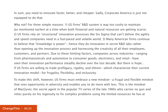In sum, you need to innovate faster, better, and cheaper. Sadly, Corporate America is just not equipped to do that.

Why not? For three simple reasons: 1) US firms' R&D system is way too costly to maintain (as mentioned earlier) at a time when both financial and natural resources are getting scarce; 2) US firms rely on "structured" innovation processes like Six Sigma that can't deliver the agility and speed companies need in a fast-paced and volatile world; 3) Many American firms continue to believe that "knowledge is power"—hence they do innovation in secret R&D labs rather than opening up the innovation process and harnessing the creativity of all their employees, customers, and partners. Due to these limiting factors, companies across industries—ranging from pharmaceuticals and automotive to consumer goods, electronics, and retail—have seen their innovation performance steadily decline over the last decade. But there is hope… if US firms are willing to trade profligacy, rigidity, and elitism—which characterize their current innovation model—for frugality, flexibility, and inclusivity.

To make this shift, however, US firms must embrace a new mindset—a frugal and flexible mindset that sees opportunity in adversity and enables you to do more with less. This is the mindset of MacGyver, the secret agent in the popular TV series of the late 1980s who carries no gun and relies purely on his ingenuity to fix complex problems using the limited resources he has at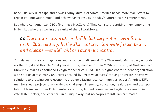hand—usually duct tape and a Swiss Army knife. Corporate America needs more MacGyvers to regain its "innovation mojo" and achieve faster results in today's unpredictable environment.

But where can American CEOs find these MacGyvers? They can start recruiting them among the Millennials who are swelling the ranks of the US workforce.

**46** The motto "innovate or die" held true for American firms in the 20th century. In the 21st century, "innovate faster, betted and cheaper—or die" will be your new mantra. *in the 20th century. In the 21st century, "innovate faster, better, and cheaper—or die" will be your new mantra.*

Yuri Malina is one such ingenious and resourceful Millennial. The 21-year-old Malina truly embodies the frugal and flexible "do-it-yourself" (DIY) mindset of Gen Y. While studying at Northwestern University, Malina co-founded Design for America (DFA). DFA is a grassroots student organization with studios across many US universities led by "creative activists" striving to create innovative solutions to pressing socio-economic problems facing local communities across America. DFA members lead projects that tackle big challenges in energy, education, healthcare, and transportation. Malina and other DFA members are using limited resources and agile processes to innovate faster, better, and cheaper—in a unique way that no corporate R&D lab can match.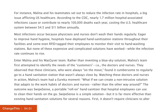For instance, Malina and his teammates set out to reduce the infection rate in hospitals, a big issue afflicting US healthcare. According to the CDC, nearly 1.7 million hospital-associated infections cause or contribute to nearly 100,000 deaths each year, costing the U.S. healthcare system between \$4.5 and \$11 billion annually.

Most infections occur because physicians and nurses don't wash their hands regularly. Eager to improve hand hygiene, hospitals have deployed hand-sanitization stations throughout their facilities and some even RFID-tagged their employees to monitor their visit to hand-washing stations. But none of these expensive and complicated solutions have worked—while the infection rate continues to rise.

Enter Malina and his MacGyver team. Rather than inventing a blue-sky solution, Malina's team first attempted to identify the needs of the "customers"—i.e., the doctors and nurses. They observed that these clinicians, who were always "on the move," found it cumbersome to regularly go to a hand sanitation station that wasn't always close by. Watching these doctors and nurses in action, Malina's team had a Eureka moment: "What if we can create a non-intrusive solution that adapts to the work habits of doctors and nurses—rather than the other way around?" The outcome was SwipeSense, a portable "roll-on" hand-sanitizer that hospital employees can use to clean their hands on the go. SwipeSense is a simple solution—but it is far more effective than existing hand sanitation solutions for several reasons. First, it doesn't require clinicians to alter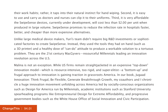their work habits; rather, it taps into their natural instinct for hand wiping. Second, it is easy to use and carry as doctors and nurses can clip it to their uniforms. Third, it is very affordable: the SwipeSense devices, currently under development, will cost less than \$2.00 per unit when produced in large volume. SwipeSense promises to reduce the infection rate in hospitals faster, better, and cheaper than more expensive alternatives.

Unlike large medical device makers, Yuri's team didn't require big R&D investments or sophisticated factories to create SwipeSense. Instead, they used the tools they had on hand (such as a 3D printer) and a healthy dose of "can-do" attitude to produce a workable solution to a tortuous problem. They are the 21st century MacGyvers—resourceful Millennials leading an innovation revolution across the U.S.

Malina is not an exception. While US firms remain straightjacketed in an expensive "top-down" innovation model—which is resource-intensive, too rigid, and super-elitist—a "bottom-up" and frugal approach to innovation is gaining traction in grassroots America. In our book, Jugaad Innovation: Think Frugal, Be Flexible, Generate Breakthrough Growth, my coauthors and I chronicle a huge innovation movement unfolding across America led by socially-conscious organizations such as Design for America run by Millennials, academic institutions such as Stanford University spearheading programs like Entrepreneurial Design for Extreme Affordability, and progressive government bodies such as the White House Office of Social Innovation and Civic Participation.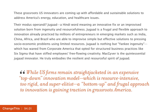These grassroots US innovators are coming up with affordable and sustainable solutions to address America's energy, education, and healthcare issues.

Their modus operandi? Jugaad—a Hindi word meaning an innovative fix or an improvised solution born from ingenuity and resourcefulness. Jugaad is a frugal and flexible approach to innovation already practiced by millions of entrepreneurs in emerging markets such as India, China, Africa, and Brazil who are able to improvise simple but effective solutions to pressing socio-economic problems using limited resources. Jugaad is nothing but "Yankee ingenuity" which has waned from Corporate America that opted for structured business practices like Six Sigma that have stifled employees' free-flowing creativity. MacGyver is the quintessential jugaad innovator. He truly embodies the resilient and resourceful spirit of jugaad.

*While US firms remain straightjacketed in an expensive "top-down" innovation model—which is resource-intensive, too rigid, and super-elitist—a "bottom-up" and frugal approach to innovation is gaining traction in grassroots America.*  66<br>*"*to<br>too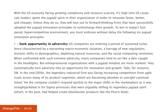With the US economy facing growing complexity and resource scarcity, it's high time US corporate leaders ignite the jugaad spirit in their organization in order to innovate faster, better, and cheaper. Unless they do so, they will lose out to forward-thinking firms that have successfully adopted the jugaad innovation principles to turbocharge their growth. To win in today's fastpaced, hypercompetitive environment, you must embrace without delay the following six jugaad innovation principles:

**1** » **Seek opportunity in adversity:** US companies are entering a period of sustained turbulence characterized by a worsening macro-economic situation, a barrage of new regulations, tectonic shifts in demographics, depleting natural resources, and the social computing revolution. When confronted with such extreme adversity, many companies tend to act like a deer caught in the headlights. But entrepreneurial organizations with a jugaad mindset are more resilient: they systematically turn adversity into an opportunity for innovation and growth. Take, for instance, 3M. In the mid-2000s, the legendary industrial firm was facing increasing competition from agile rivals across many of its product segments, which are becoming obsolete or outright commoditized. Yet the company couldn't respond quickly to the major shifts in the marketplace as it was straightjacketed in Six Sigma processes that were arguably stifling its legendary jugaad spirit (which, in the past, had helped create blockbuster products like the Post-it Note).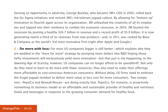Sensing an opportunity in adversity, George Buckley, who became 3M's CEO in 2005, rolled back the Six Sigma initiatives and revived 3M's risk-tolerant jugaad culture. By allowing for "bottom up" innovation to flourish again across its organization, 3M unleashed the creativity of all its employees and tapped into their resilience to combat the economic recession. In 2010, 3M bucked the recession by posting a healthy \$26.7 billion in revenue and a record profit of \$5.9 billion. It is now generating nearly a third of its revenues from new products—and, in 2011, was ranked by Booz & Company as the world's 3rd most innovative firm (right after Apple and Google.)

**2** » **Do more with less:** For most US companies bigger is still better—which explains why they are wedded to the "more for more" strategy by pumping more dollars into R&D hoping those hefty investments will miraculously yield more innovation—but that just is not happening. In the dawning Age of Scarcity, however, US companies can no longer afford to be spendthrift. Not only do they need to learn to do more with fewer resources, they also need to make their offerings more affordable to cost-conscious American consumers. Without delay, US firms need to embrace the frugal jugaad mindset to deliver more value at less cost for more consumers. Two companies—PepsiCo and Renault-Nissan—are doing exactly that. PepsiCo, for instance, is proactively reinventing its business model as an affordable and sustainable provider of healthy and nutritious foods and beverages in response to the growing consumer demand for healthy food.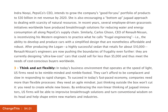Indra Nooyi, PepsiCo's CEO, intends to grow the company's "good-for-you" portfolio of products to \$30 billion in net revenue by 2020. She is also encouraging a "bottom up" jugaad approach to dealing with scarcity of natural resources. In recent years, several employee-driven grassroots initiatives worldwide have produced breakthrough solutions for reducing water and energy consumption all along PepsiCo's supply chain. Similarly, Carlos Ghosn, CEO of Renault-Nissan, is incentivizing his Western engineers to practice what he calls "frugal engineering"—i.e., the ability to develop and produce cars with a simplified design that are nonetheless affordable and robust. After producing the Logan—a highly successful sedan that retails for about \$10,000— Renault-Nissan's engineers are now pushing the boundaries of frugality even further: they are currently designing "ultra-low-cost" cars that could sell for less than \$5,000 and thus meet the needs of cost-conscious buyers worldwide.

**3** » **Think and act flexibly:** In today's business environment that operates at the speed of light, US firms need to be nimble-minded and nimble-footed. They can't afford to be complacent and slow in responding to rapid changes. To succeed in today's fast-paced economy, companies need more than flexible processes: they need an agile mindset. Just thinking outside the box won't cut it: you need to create whole new boxes. By embracing the non-linear thinking of jugaad innovators, US firms will be able to improvise breakthrough solutions and turn conventional wisdom on its head and help shape entire new markets and industries.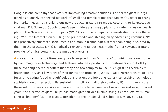Google is one company that excels at improvising creative solutions. The search giant is organized as a loosely-connected network of small and nimble teams that can swiftly react to changing market needs—by cranking out new products in rapid-fire mode. According to its executive chairman Eric Schmidt, Google doesn't use multi-year strategic plans, but rather relies on weekly plans. The New York Times Company (NYTC) is another company demonstrating flexible thinking. With the Internet slowly killing the print media and stealing away advertising revenues, NYTC has proactively embraced social media and mobile technologies, rather than being disrupted by them. In the process, NYTC is radically reinventing its business model from a newspaper into a provider of digital content across multiple platforms.

**4** » **Keep it simple:** US firms are typically engaged in an "arms race" to out-innovate each other by cramming more technology and features into their products. But customers are put off by these over-engineered products that they find too complex to use. It's high time US firms embrace simplicity as a key tenet of their innovation projects—just as jugaad entrepreneurs do—and focus on creating "good enough" solutions that get the job done rather than seeking technology sophistication or perfection. By enshrining simplicity in all their solutions, US firms can ensure these solutions are accessible and easy-to-use by a large number of users. For instance, in recent years, the electronics giant Philips has made great strides in simplifying its products by "humanizing technology" (as John Maeda, president of the Rhode Island School of Design, puts it).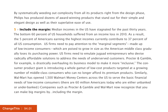By systematically weeding out complexity from all its products right from the design phase, Philips has produced dozens of award-winning products that stand out for their simple and elegant design as well as their superlative ease of use.

**5** » **Include the margin:** Median incomes in the US have stagnated for the past thirty years. The bottom 60 percent of US households suffered from an income loss in 2010. As a result, the 5 percent of Americans earning the highest incomes currently contribute to 37 percent of all US consumption. US firms need to pay attention to the "marginal segments"—made up of low-income consumers—which are poised to grow in size as the American middle class gradually loses its purchasing power. US firms need to emulate jugaad entrepreneurs who devise radically affordable solutions to address the needs of underserved customers. Procter & Gamble, for example, is drastically overhauling its business model to make it more "inclusive." The consumer product giant is introducing a whole gamut of low-cost products targeted at a growing number of middle-class consumers who can no longer afford its premium products. Similarly, Wal-Mart has opened 1,500 Walmart Money Centers across the US to serve the basic financial needs of low-income consumers (there are 60 million Americans today who are either unbanked or under-banked.) Companies such as Procter & Gamble and Wal-Mart now recognize that you can make big margins by…including the margin.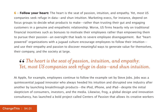**6** » **Follow your heart:** The heart is the seat of passion, intuition, and empathy. Yet, most US companies seek refuge in data—and shun intuition. Marketing execs, for instance, depend on focus groups to decide what products to make—rather than trusting their gut and engaging customers in a genuine and empathetic relationship. Worse, US firms heavily rely on traditional financial incentives such as bonuses to motivate their employees rather than empowering them to pursue their passion—an oversight that leads to severe employee disengagement. But "heartpowered" organizations with a jugaad culture encourage employees to follow their intuition and use their empathy and passion to discover meaningful ways to generate value for themselves, their company, and the society at large.

### *The heart is the seat of passion, intuition, and empathy.*  66<br>*Yet Yet, most US companies seek refuge in data—and shun intuition.*

At Apple, for example, employees continue to follow the example set by Steve Jobs. Jobs was a quintessential jugaad innovator who always heeded his intuition and disrupted one industry after another by launching breakthrough products—the iPod, iPhone, and iPad—despite the initial skepticism of consumers, investors, and the media. Likewise, frog, a global design and innovation consultancy, has launched a bold project called Centers of Passion that allows its creative workers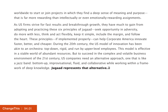worldwide to start or join projects in which they find a deep sense of meaning and purpose that is far more rewarding than intellectually or even emotionally-rewarding assignments.

As US firms strive for fast results and breakthrough growth, they have much to gain from adopting and practicing these six principles of jugaad—seek opportunity in adversity, do more with less, think and act flexibly, keep it simple, include the margin, and follow the heart. These principles—if implemented properly—can help Corporate America innovate faster, better, and cheaper. During the 20th century, the US model of innovation has been akin to an orchestra: top-down, rigid, and run by upper-level employees. This model is effective in a stable world of abundant resources. But to succeed in the complex and volatile business environment of the 21st century, US companies need an alternative approach, one that is like a jazz band: bottom-up, improvisational, fluid, and collaborative while working within a framework of deep knowledge. **Jugaad represents that alternative.**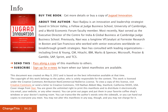## Info



#### **BUY THE BOOK** | Get more details or buy a copy of [Jugaad Innovation.](http://800ceoread.com/book/show/9781118249741)

**ABOUT THE AUTHOR** | Navi Radiou is an innovation and leadership strategist based in Silicon Valley, a Fellow at Judge Business School, University of Cambridge, and a World Economic Forum faculty member. Most recently, Navi served as the Executive Director of the Centre for India & Global Business at Cambridge Judge Business School. Previously, Navi was a longtime VP/analyst at Forrester Research in Boston and San Francisco who worked with senior executives worldwide on breakthrough growth strategies. Navi has consulted with leading organizations including Ernst & Young, GM, Hitachi, IBM, Marks & Spencer, Microsoft, Procter & Gamble, SAP, Sprint, and TCS.

**→ SEND THIS** | [Pass along a copy](http://www.changethis.com/94.06.JugaadInnovation/email) of this manifesto to others.

**→ SUBSCRIBE** | Sign up fo[r e-news](http://changethis.com/page/show/e_mail_newsletter) to learn when our latest manifestos are available.

This document was created on May 9, 2012 and is based on the best information available at that time. The copyright of this work belongs to the author, who is solely responsible for the content. This work is licensed under the Creative Commons Attribution-NonCommercial-NoDerivs License. To view a copy of this license, visit [Creative Commons](http://creativecommons.org/licenses/by-nc-nd/2.0/) or send a letter to Creative Commons, 559 Nathan Abbott Way, Stanford, California 94305, USA. Cover image from [Veer.](http://www.veer.com/) You are given the unlimited right to print this manifesto and to distribute it electronically (via email, your website, or any other means). You can print out pages and put them in your favorite coffee shop's windows or your doctor's waiting room. You can transcribe the author's words onto the sidewalk, or you can hand out copies to everyone you meet. You may not alter this manifesto in any way, though, and you may not charge for it.

#### ChangeThis | 94.01